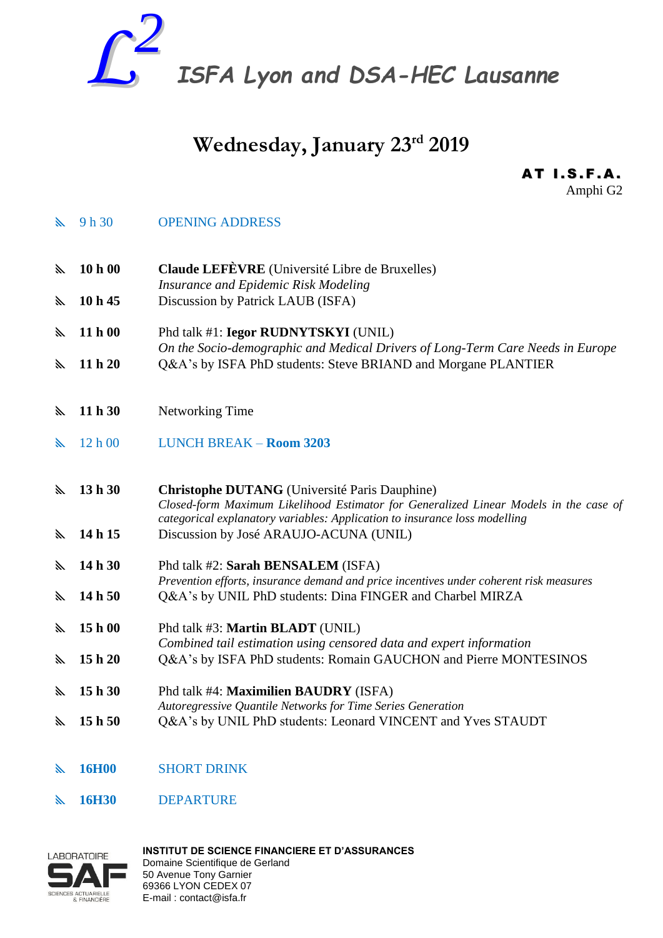

# **Wednesday, January 23rd 2019**

**AT I.S.F.A.** Amphi G2

**Solution Set Set OPENING ADDRESS** 

 **10 h 00 Claude LEFÈVRE** (Université Libre de Bruxelles) *Insurance and Epidemic Risk Modeling*

- **10 h 45** Discussion by Patrick LAUB (ISFA)
- **11 h 00** Phd talk #1: **Iegor RUDNYTSKYI** (UNIL) *On the Socio-demographic and Medical Drivers of Long-Term Care Needs in Europe* **11 h 20** Q&A's by ISFA PhD students: Steve BRIAND and Morgane PLANTIER
- **11 h 30** Networking Time
- 12 h 00 LUNCH BREAK **Room 3203**
- **13 h 30 Christophe DUTANG** (Université Paris Dauphine) *Closed-form Maximum Likelihood Estimator for Generalized Linear Models in the case of categorical explanatory variables: Application to insurance loss modelling* **14 h 15** Discussion by José ARAUJO-ACUNA (UNIL)
- 
- **14 h 30** Phd talk #2: **Sarah BENSALEM** (ISFA) *Prevention efforts, insurance demand and price incentives under coherent risk measures* **14 h 50** Q&A's by UNIL PhD students: Dina FINGER and Charbel MIRZA
- **15 h 00** Phd talk #3: **Martin BLADT** (UNIL) *Combined tail estimation using censored data and expert information* **15 h 20** Q&A's by ISFA PhD students: Romain GAUCHON and Pierre MONTESINOS
- **15 h 30** Phd talk #4: **Maximilien BAUDRY** (ISFA) *Autoregressive Quantile Networks for Time Series Generation* **15 h 50** Q&A's by UNIL PhD students: Leonard VINCENT and Yves STAUDT
- **16H00** SHORT DRINK
- **16H30** DEPARTURE



**INSTITUT DE SCIENCE FINANCIERE ET D'ASSURANCES**  Domaine Scientifique de Gerland 50 Avenue Tony Garnier 69366 LYON CEDEX 07 E-mail : contact@isfa.fr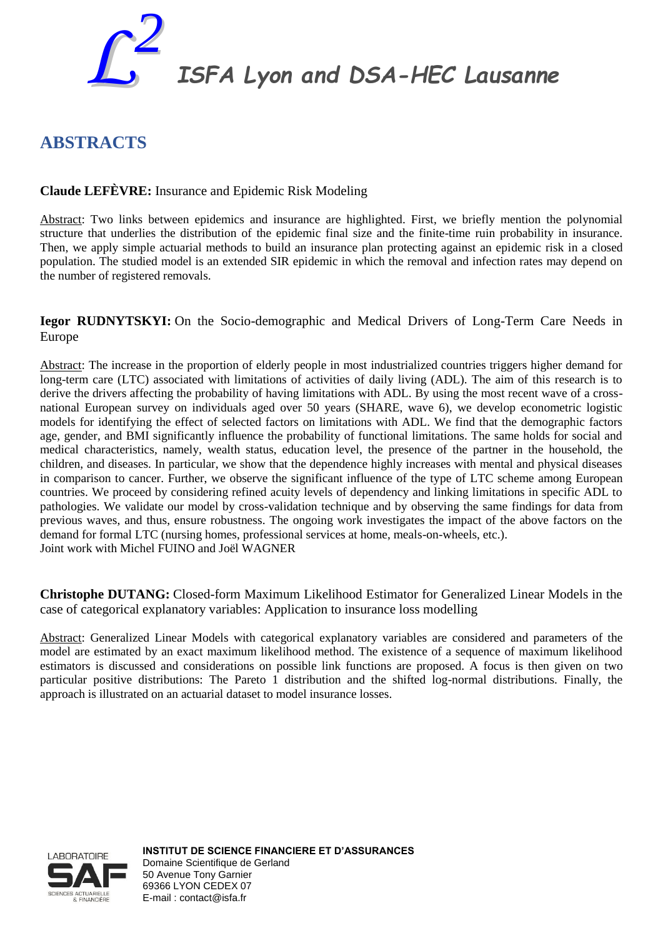

*ISFA Lyon and DSA-HEC Lausanne*

## **ABSTRACTS**

### **Claude LEFÈVRE:** Insurance and Epidemic Risk Modeling

Abstract: Two links between epidemics and insurance are highlighted. First, we briefly mention the polynomial structure that underlies the distribution of the epidemic final size and the finite-time ruin probability in insurance. Then, we apply simple actuarial methods to build an insurance plan protecting against an epidemic risk in a closed population. The studied model is an extended SIR epidemic in which the removal and infection rates may depend on the number of registered removals.

**Iegor RUDNYTSKYI:** On the Socio-demographic and Medical Drivers of Long-Term Care Needs in Europe

Abstract: The increase in the proportion of elderly people in most industrialized countries triggers higher demand for long-term care (LTC) associated with limitations of activities of daily living (ADL). The aim of this research is to derive the drivers affecting the probability of having limitations with ADL. By using the most recent wave of a crossnational European survey on individuals aged over 50 years (SHARE, wave 6), we develop econometric logistic models for identifying the effect of selected factors on limitations with ADL. We find that the demographic factors age, gender, and BMI significantly influence the probability of functional limitations. The same holds for social and medical characteristics, namely, wealth status, education level, the presence of the partner in the household, the children, and diseases. In particular, we show that the dependence highly increases with mental and physical diseases in comparison to cancer. Further, we observe the significant influence of the type of LTC scheme among European countries. We proceed by considering refined acuity levels of dependency and linking limitations in specific ADL to pathologies. We validate our model by cross-validation technique and by observing the same findings for data from previous waves, and thus, ensure robustness. The ongoing work investigates the impact of the above factors on the demand for formal LTC (nursing homes, professional services at home, meals-on-wheels, etc.). Joint work with Michel FUINO and Joël WAGNER

**Christophe DUTANG:** Closed-form Maximum Likelihood Estimator for Generalized Linear Models in the case of categorical explanatory variables: Application to insurance loss modelling

Abstract: Generalized Linear Models with categorical explanatory variables are considered and parameters of the model are estimated by an exact maximum likelihood method. The existence of a sequence of maximum likelihood estimators is discussed and considerations on possible link functions are proposed. A focus is then given on two particular positive distributions: The Pareto 1 distribution and the shifted log-normal distributions. Finally, the approach is illustrated on an actuarial dataset to model insurance losses.



**INSTITUT DE SCIENCE FINANCIERE ET D'ASSURANCES**  Domaine Scientifique de Gerland 50 Avenue Tony Garnier 69366 LYON CEDEX 07 E-mail : contact@isfa.fr